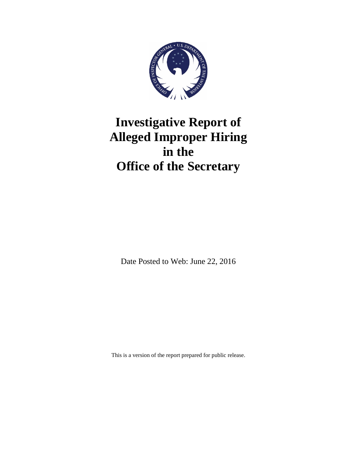

# **Investigative Report of Alleged Improper Hiring in the Office of the Secretary**

Date Posted to Web: June 22, 2016

This is a version of the report prepared for public release.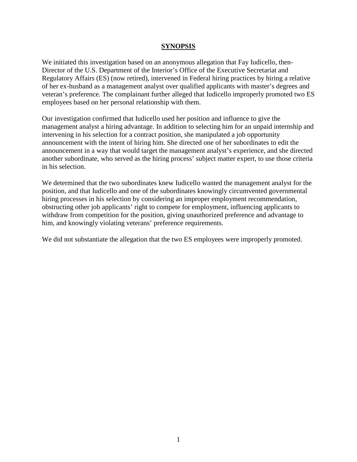#### **SYNOPSIS**

We initiated this investigation based on an anonymous allegation that Fay Iudicello, then-Director of the U.S. Department of the Interior's Office of the Executive Secretariat and Regulatory Affairs (ES) (now retired), intervened in Federal hiring practices by hiring a relative of her ex-husband as a management analyst over qualified applicants with master's degrees and veteran's preference. The complainant further alleged that Iudicello improperly promoted two ES employees based on her personal relationship with them.

Our investigation confirmed that Iudicello used her position and influence to give the management analyst a hiring advantage. In addition to selecting him for an unpaid internship and intervening in his selection for a contract position, she manipulated a job opportunity announcement with the intent of hiring him. She directed one of her subordinates to edit the announcement in a way that would target the management analyst's experience, and she directed another subordinate, who served as the hiring process' subject matter expert, to use those criteria in his selection.

We determined that the two subordinates knew Iudicello wanted the management analyst for the position, and that Iudicello and one of the subordinates knowingly circumvented governmental hiring processes in his selection by considering an improper employment recommendation, obstructing other job applicants' right to compete for employment, influencing applicants to withdraw from competition for the position, giving unauthorized preference and advantage to him, and knowingly violating veterans' preference requirements.

We did not substantiate the allegation that the two ES employees were improperly promoted.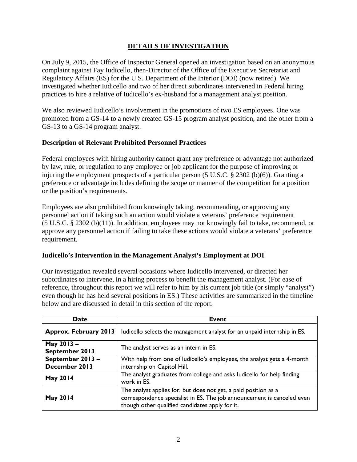# **DETAILS OF INVESTIGATION**

On July 9, 2015, the Office of Inspector General opened an investigation based on an anonymous complaint against Fay Iudicello, then-Director of the Office of the Executive Secretariat and Regulatory Affairs (ES) for the U.S. Department of the Interior (DOI) (now retired). We investigated whether Iudicello and two of her direct subordinates intervened in Federal hiring practices to hire a relative of Iudicello's ex-husband for a management analyst position.

We also reviewed Iudicello's involvement in the promotions of two ES employees. One was promoted from a GS-14 to a newly created GS-15 program analyst position, and the other from a GS-13 to a GS-14 program analyst.

# **Description of Relevant Prohibited Personnel Practices**

Federal employees with hiring authority cannot grant any preference or advantage not authorized by law, rule, or regulation to any employee or job applicant for the purpose of improving or injuring the employment prospects of a particular person (5 U.S.C. § 2302 (b)(6)). Granting a preference or advantage includes defining the scope or manner of the competition for a position or the position's requirements.

Employees are also prohibited from knowingly taking, recommending, or approving any personnel action if taking such an action would violate a veterans' preference requirement (5 U.S.C. § 2302 (b)(11)). In addition, employees may not knowingly fail to take, recommend, or approve any personnel action if failing to take these actions would violate a veterans' preference requirement.

# **Iudicello's Intervention in the Management Analyst's Employment at DOI**

Our investigation revealed several occasions where Iudicello intervened, or directed her subordinates to intervene, in a hiring process to benefit the management analyst. (For ease of reference, throughout this report we will refer to him by his current job title (or simply "analyst") even though he has held several positions in ES.) These activities are summarized in the timeline below and are discussed in detail in this section of the report.

| <b>Date</b>                      | <b>Event</b>                                                                                                                                                                                 |
|----------------------------------|----------------------------------------------------------------------------------------------------------------------------------------------------------------------------------------------|
| <b>Approx. February 2013</b>     | ludicello selects the management analyst for an unpaid internship in ES.                                                                                                                     |
| May 2013-<br>September 2013      | The analyst serves as an intern in ES.                                                                                                                                                       |
| September 2013-<br>December 2013 | With help from one of ludicello's employees, the analyst gets a 4-month<br>internship on Capitol Hill.                                                                                       |
| <b>May 2014</b>                  | The analyst graduates from college and asks ludicello for help finding<br>work in ES.                                                                                                        |
| <b>May 2014</b>                  | The analyst applies for, but does not get, a paid position as a<br>correspondence specialist in ES. The job announcement is canceled even<br>though other qualified candidates apply for it. |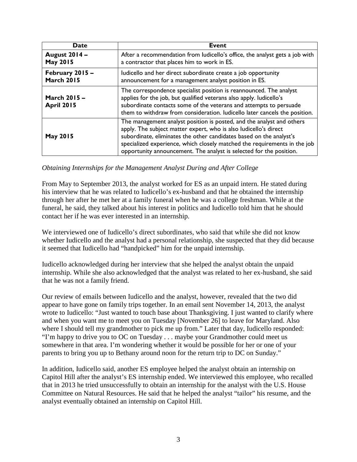| <b>Date</b>                             | <b>Event</b>                                                                                                                                                                                                                                                                                                                                                         |
|-----------------------------------------|----------------------------------------------------------------------------------------------------------------------------------------------------------------------------------------------------------------------------------------------------------------------------------------------------------------------------------------------------------------------|
| <b>August 2014 -</b><br><b>May 2015</b> | After a recommendation from ludicello's office, the analyst gets a job with<br>a contractor that places him to work in ES.                                                                                                                                                                                                                                           |
| February 2015 -<br><b>March 2015</b>    | ludicello and her direct subordinate create a job opportunity<br>announcement for a management analyst position in ES.                                                                                                                                                                                                                                               |
| March 2015 -<br><b>April 2015</b>       | The correspondence specialist position is reannounced. The analyst<br>applies for the job, but qualified veterans also apply. ludicello's<br>subordinate contacts some of the veterans and attempts to persuade<br>them to withdraw from consideration. Iudicello later cancels the position.                                                                        |
| <b>May 2015</b>                         | The management analyst position is posted, and the analyst and others<br>apply. The subject matter expert, who is also ludicello's direct<br>subordinate, eliminates the other candidates based on the analyst's<br>specialized experience, which closely matched the requirements in the job<br>opportunity announcement. The analyst is selected for the position. |

#### *Obtaining Internships for the Management Analyst During and After College*

From May to September 2013, the analyst worked for ES as an unpaid intern. He stated during his interview that he was related to Iudicello's ex-husband and that he obtained the internship through her after he met her at a family funeral when he was a college freshman. While at the funeral, he said, they talked about his interest in politics and Iudicello told him that he should contact her if he was ever interested in an internship.

We interviewed one of Iudicello's direct subordinates, who said that while she did not know whether Iudicello and the analyst had a personal relationship, she suspected that they did because it seemed that Iudicello had "handpicked" him for the unpaid internship.

Iudicello acknowledged during her interview that she helped the analyst obtain the unpaid internship. While she also acknowledged that the analyst was related to her ex-husband, she said that he was not a family friend.

Our review of emails between Iudicello and the analyst, however, revealed that the two did appear to have gone on family trips together. In an email sent November 14, 2013, the analyst wrote to Iudicello: "Just wanted to touch base about Thanksgiving. I just wanted to clarify where and when you want me to meet you on Tuesday [November 26] to leave for Maryland. Also where I should tell my grandmother to pick me up from." Later that day, Iudicello responded: "I'm happy to drive you to OC on Tuesday . . . maybe your Grandmother could meet us somewhere in that area. I'm wondering whether it would be possible for her or one of your parents to bring you up to Bethany around noon for the return trip to DC on Sunday."

In addition, Iudicello said, another ES employee helped the analyst obtain an internship on Capitol Hill after the analyst's ES internship ended. We interviewed this employee, who recalled that in 2013 he tried unsuccessfully to obtain an internship for the analyst with the U.S. House Committee on Natural Resources. He said that he helped the analyst "tailor" his resume, and the analyst eventually obtained an internship on Capitol Hill.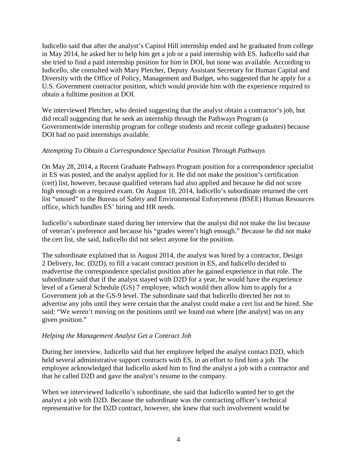Iudicello said that after the analyst's Capitol Hill internship ended and he graduated from college in May 2014, he asked her to help him get a job or a paid internship with ES. Iudicello said that she tried to find a paid internship position for him in DOI, but none was available. According to Iudicello, she consulted with Mary Pletcher, Deputy Assistant Secretary for Human Capital and Diversity with the Office of Policy, Management and Budget, who suggested that he apply for a U.S. Government contractor position, which would provide him with the experience required to obtain a fulltime position at DOI.

We interviewed Pletcher, who denied suggesting that the analyst obtain a contractor's job, but did recall suggesting that he seek an internship through the Pathways Program (a Governmentwide internship program for college students and recent college graduates) because DOI had no paid internships available.

# *Attempting To Obtain a Correspondence Specialist Position Through Pathways*

On May 28, 2014, a Recent Graduate Pathways Program position for a correspondence specialist in ES was posted, and the analyst applied for it. He did not make the position's certification (cert) list, however, because qualified veterans had also applied and because he did not score high enough on a required exam. On August 18, 2014, Iudicello's subordinate returned the cert list "unused" to the Bureau of Safety and Environmental Enforcement (BSEE) Human Resources office, which handles ES' hiring and HR needs.

Iudicello's subordinate stated during her interview that the analyst did not make the list because of veteran's preference and because his "grades weren't high enough." Because he did not make the cert list, she said, Iudicello did not select anyone for the position.

The subordinate explained that in August 2014, the analyst was hired by a contractor, Design 2 Delivery, Inc. (D2D), to fill a vacant contract position in ES, and Iudicello decided to readvertise the correspondence specialist position after he gained experience in that role. The subordinate said that if the analyst stayed with D2D for a year, he would have the experience level of a General Schedule (GS) 7 employee, which would then allow him to apply for a Government job at the GS-9 level. The subordinate said that Iudicello directed her not to advertise any jobs until they were certain that the analyst could make a cert list and be hired. She said: "We weren't moving on the positions until we found out where [the analyst] was on any given position."

#### *Helping the Management Analyst Get a Contract Job*

During her interview, Iudicello said that her employee helped the analyst contact D2D, which held several administrative support contracts with ES, in an effort to find him a job. The employee acknowledged that Iudicello asked him to find the analyst a job with a contractor and that he called D2D and gave the analyst's resume to the company.

When we interviewed Iudicello's subordinate, she said that Iudicello wanted her to get the analyst a job with D2D. Because the subordinate was the contracting officer's technical representative for the D2D contract, however, she knew that such involvement would be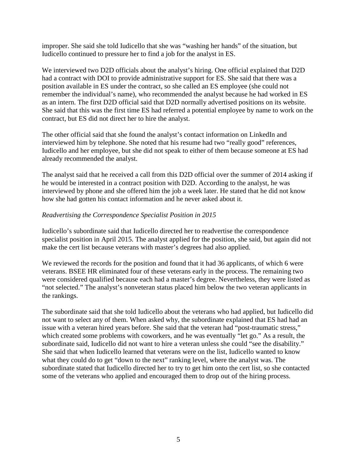improper. She said she told Iudicello that she was "washing her hands" of the situation, but Iudicello continued to pressure her to find a job for the analyst in ES.

We interviewed two D2D officials about the analyst's hiring. One official explained that D2D had a contract with DOI to provide administrative support for ES. She said that there was a position available in ES under the contract, so she called an ES employee (she could not remember the individual's name), who recommended the analyst because he had worked in ES as an intern. The first D2D official said that D2D normally advertised positions on its website. She said that this was the first time ES had referred a potential employee by name to work on the contract, but ES did not direct her to hire the analyst.

The other official said that she found the analyst's contact information on LinkedIn and interviewed him by telephone. She noted that his resume had two "really good" references, Iudicello and her employee, but she did not speak to either of them because someone at ES had already recommended the analyst.

The analyst said that he received a call from this D2D official over the summer of 2014 asking if he would be interested in a contract position with D2D. According to the analyst, he was interviewed by phone and she offered him the job a week later. He stated that he did not know how she had gotten his contact information and he never asked about it.

#### *Readvertising the Correspondence Specialist Position in 2015*

Iudicello's subordinate said that Iudicello directed her to readvertise the correspondence specialist position in April 2015. The analyst applied for the position, she said, but again did not make the cert list because veterans with master's degrees had also applied.

We reviewed the records for the position and found that it had 36 applicants, of which 6 were veterans. BSEE HR eliminated four of these veterans early in the process. The remaining two were considered qualified because each had a master's degree. Nevertheless, they were listed as "not selected." The analyst's nonveteran status placed him below the two veteran applicants in the rankings.

The subordinate said that she told Iudicello about the veterans who had applied, but Iudicello did not want to select any of them. When asked why, the subordinate explained that ES had had an issue with a veteran hired years before. She said that the veteran had "post-traumatic stress," which created some problems with coworkers, and he was eventually "let go." As a result, the subordinate said, Iudicello did not want to hire a veteran unless she could "see the disability." She said that when Iudicello learned that veterans were on the list, Iudicello wanted to know what they could do to get "down to the next" ranking level, where the analyst was. The subordinate stated that Iudicello directed her to try to get him onto the cert list, so she contacted some of the veterans who applied and encouraged them to drop out of the hiring process.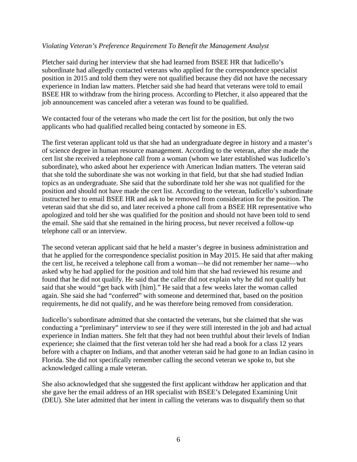#### *Violating Veteran's Preference Requirement To Benefit the Management Analyst*

Pletcher said during her interview that she had learned from BSEE HR that Iudicello's subordinate had allegedly contacted veterans who applied for the correspondence specialist position in 2015 and told them they were not qualified because they did not have the necessary experience in Indian law matters. Pletcher said she had heard that veterans were told to email BSEE HR to withdraw from the hiring process. According to Pletcher, it also appeared that the job announcement was canceled after a veteran was found to be qualified.

We contacted four of the veterans who made the cert list for the position, but only the two applicants who had qualified recalled being contacted by someone in ES.

The first veteran applicant told us that she had an undergraduate degree in history and a master's of science degree in human resource management. According to the veteran, after she made the cert list she received a telephone call from a woman (whom we later established was Iudicello's subordinate), who asked about her experience with American Indian matters. The veteran said that she told the subordinate she was not working in that field, but that she had studied Indian topics as an undergraduate. She said that the subordinate told her she was not qualified for the position and should not have made the cert list. According to the veteran, Iudicello's subordinate instructed her to email BSEE HR and ask to be removed from consideration for the position. The veteran said that she did so, and later received a phone call from a BSEE HR representative who apologized and told her she was qualified for the position and should not have been told to send the email. She said that she remained in the hiring process, but never received a follow-up telephone call or an interview.

The second veteran applicant said that he held a master's degree in business administration and that he applied for the correspondence specialist position in May 2015. He said that after making the cert list, he received a telephone call from a woman—he did not remember her name—who asked why he had applied for the position and told him that she had reviewed his resume and found that he did not qualify. He said that the caller did not explain why he did not qualify but said that she would "get back with [him]." He said that a few weeks later the woman called again. She said she had "conferred" with someone and determined that, based on the position requirements, he did not qualify, and he was therefore being removed from consideration.

Iudicello's subordinate admitted that she contacted the veterans, but she claimed that she was conducting a "preliminary" interview to see if they were still interested in the job and had actual experience in Indian matters. She felt that they had not been truthful about their levels of Indian experience; she claimed that the first veteran told her she had read a book for a class 12 years before with a chapter on Indians, and that another veteran said he had gone to an Indian casino in Florida. She did not specifically remember calling the second veteran we spoke to, but she acknowledged calling a male veteran.

She also acknowledged that she suggested the first applicant withdraw her application and that she gave her the email address of an HR specialist with BSEE's Delegated Examining Unit (DEU). She later admitted that her intent in calling the veterans was to disqualify them so that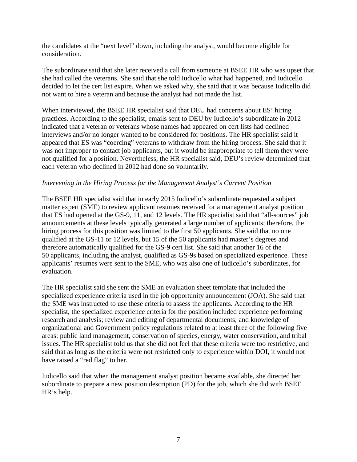the candidates at the "next level" down, including the analyst, would become eligible for consideration.

The subordinate said that she later received a call from someone at BSEE HR who was upset that she had called the veterans. She said that she told Iudicello what had happened, and Iudicello decided to let the cert list expire. When we asked why, she said that it was because Iudicello did not want to hire a veteran and because the analyst had not made the list.

When interviewed, the BSEE HR specialist said that DEU had concerns about ES' hiring practices. According to the specialist, emails sent to DEU by Iudicello's subordinate in 2012 indicated that a veteran or veterans whose names had appeared on cert lists had declined interviews and/or no longer wanted to be considered for positions. The HR specialist said it appeared that ES was "coercing" veterans to withdraw from the hiring process. She said that it was not improper to contact job applicants, but it would be inappropriate to tell them they were not qualified for a position. Nevertheless, the HR specialist said, DEU's review determined that each veteran who declined in 2012 had done so voluntarily.

#### *Intervening in the Hiring Process for the Management Analyst's Current Position*

The BSEE HR specialist said that in early 2015 Iudicello's subordinate requested a subject matter expert (SME) to review applicant resumes received for a management analyst position that ES had opened at the GS-9, 11, and 12 levels. The HR specialist said that "all-sources" job announcements at these levels typically generated a large number of applicants; therefore, the hiring process for this position was limited to the first 50 applicants. She said that no one qualified at the GS-11 or 12 levels, but 15 of the 50 applicants had master's degrees and therefore automatically qualified for the GS-9 cert list. She said that another 16 of the 50 applicants, including the analyst, qualified as GS-9s based on specialized experience. These applicants' resumes were sent to the SME, who was also one of Iudicello's subordinates, for evaluation.

The HR specialist said she sent the SME an evaluation sheet template that included the specialized experience criteria used in the job opportunity announcement (JOA). She said that the SME was instructed to use these criteria to assess the applicants. According to the HR specialist, the specialized experience criteria for the position included experience performing research and analysis; review and editing of departmental documents; and knowledge of organizational and Government policy regulations related to at least three of the following five areas: public land management, conservation of species, energy, water conservation, and tribal issues. The HR specialist told us that she did not feel that these criteria were too restrictive, and said that as long as the criteria were not restricted only to experience within DOI, it would not have raised a "red flag" to her.

Iudicello said that when the management analyst position became available, she directed her subordinate to prepare a new position description (PD) for the job, which she did with BSEE HR's help.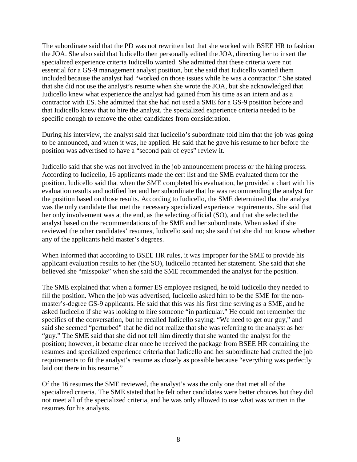The subordinate said that the PD was not rewritten but that she worked with BSEE HR to fashion the JOA. She also said that Iudicello then personally edited the JOA, directing her to insert the specialized experience criteria Iudicello wanted. She admitted that these criteria were not essential for a GS-9 management analyst position, but she said that Iudicello wanted them included because the analyst had "worked on those issues while he was a contractor." She stated that she did not use the analyst's resume when she wrote the JOA, but she acknowledged that Iudicello knew what experience the analyst had gained from his time as an intern and as a contractor with ES. She admitted that she had not used a SME for a GS-9 position before and that Iudicello knew that to hire the analyst, the specialized experience criteria needed to be specific enough to remove the other candidates from consideration.

During his interview, the analyst said that Iudicello's subordinate told him that the job was going to be announced, and when it was, he applied. He said that he gave his resume to her before the position was advertised to have a "second pair of eyes" review it.

Iudicello said that she was not involved in the job announcement process or the hiring process. According to Iudicello, 16 applicants made the cert list and the SME evaluated them for the position. Iudicello said that when the SME completed his evaluation, he provided a chart with his evaluation results and notified her and her subordinate that he was recommending the analyst for the position based on those results. According to Iudicello, the SME determined that the analyst was the only candidate that met the necessary specialized experience requirements. She said that her only involvement was at the end, as the selecting official (SO), and that she selected the analyst based on the recommendations of the SME and her subordinate. When asked if she reviewed the other candidates' resumes, Iudicello said no; she said that she did not know whether any of the applicants held master's degrees.

When informed that according to BSEE HR rules, it was improper for the SME to provide his applicant evaluation results to her (the SO), Iudicello recanted her statement. She said that she believed she "misspoke" when she said the SME recommended the analyst for the position.

The SME explained that when a former ES employee resigned, he told Iudicello they needed to fill the position. When the job was advertised, Iudicello asked him to be the SME for the nonmaster's-degree GS-9 applicants. He said that this was his first time serving as a SME, and he asked Iudicello if she was looking to hire someone "in particular." He could not remember the specifics of the conversation, but he recalled Iudicello saying: "We need to get our guy," and said she seemed "perturbed" that he did not realize that she was referring to the analyst as her "guy." The SME said that she did not tell him directly that she wanted the analyst for the position; however, it became clear once he received the package from BSEE HR containing the resumes and specialized experience criteria that Iudicello and her subordinate had crafted the job requirements to fit the analyst's resume as closely as possible because "everything was perfectly laid out there in his resume."

Of the 16 resumes the SME reviewed, the analyst's was the only one that met all of the specialized criteria. The SME stated that he felt other candidates were better choices but they did not meet all of the specialized criteria, and he was only allowed to use what was written in the resumes for his analysis.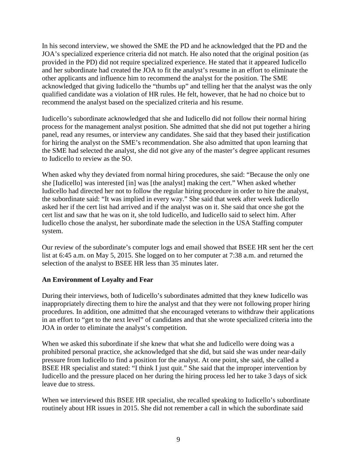In his second interview, we showed the SME the PD and he acknowledged that the PD and the JOA's specialized experience criteria did not match. He also noted that the original position (as provided in the PD) did not require specialized experience. He stated that it appeared Iudicello and her subordinate had created the JOA to fit the analyst's resume in an effort to eliminate the other applicants and influence him to recommend the analyst for the position. The SME acknowledged that giving Iudicello the "thumbs up" and telling her that the analyst was the only qualified candidate was a violation of HR rules. He felt, however, that he had no choice but to recommend the analyst based on the specialized criteria and his resume.

Iudicello's subordinate acknowledged that she and Iudicello did not follow their normal hiring process for the management analyst position. She admitted that she did not put together a hiring panel, read any resumes, or interview any candidates. She said that they based their justification for hiring the analyst on the SME's recommendation. She also admitted that upon learning that the SME had selected the analyst, she did not give any of the master's degree applicant resumes to Iudicello to review as the SO.

When asked why they deviated from normal hiring procedures, she said: "Because the only one she [Iudicello] was interested [in] was [the analyst] making the cert." When asked whether Iudicello had directed her not to follow the regular hiring procedure in order to hire the analyst, the subordinate said: "It was implied in every way." She said that week after week Iudicello asked her if the cert list had arrived and if the analyst was on it. She said that once she got the cert list and saw that he was on it, she told Iudicello, and Iudicello said to select him. After Iudicello chose the analyst, her subordinate made the selection in the USA Staffing computer system.

Our review of the subordinate's computer logs and email showed that BSEE HR sent her the cert list at 6:45 a.m. on May 5, 2015. She logged on to her computer at 7:38 a.m. and returned the selection of the analyst to BSEE HR less than 35 minutes later.

# **An Environment of Loyalty and Fear**

During their interviews, both of Iudicello's subordinates admitted that they knew Iudicello was inappropriately directing them to hire the analyst and that they were not following proper hiring procedures. In addition, one admitted that she encouraged veterans to withdraw their applications in an effort to "get to the next level" of candidates and that she wrote specialized criteria into the JOA in order to eliminate the analyst's competition.

When we asked this subordinate if she knew that what she and Iudicello were doing was a prohibited personal practice, she acknowledged that she did, but said she was under near-daily pressure from Iudicello to find a position for the analyst. At one point, she said, she called a BSEE HR specialist and stated: "I think I just quit." She said that the improper intervention by Iudicello and the pressure placed on her during the hiring process led her to take 3 days of sick leave due to stress.

When we interviewed this BSEE HR specialist, she recalled speaking to Iudicello's subordinate routinely about HR issues in 2015. She did not remember a call in which the subordinate said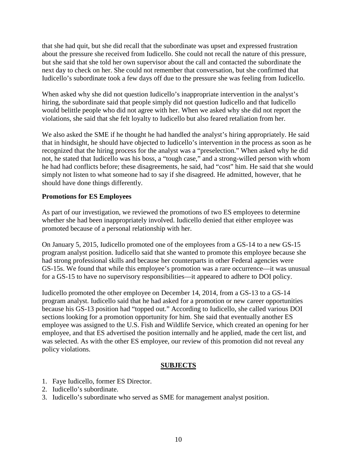that she had quit, but she did recall that the subordinate was upset and expressed frustration about the pressure she received from Iudicello. She could not recall the nature of this pressure, but she said that she told her own supervisor about the call and contacted the subordinate the next day to check on her. She could not remember that conversation, but she confirmed that Iudicello's subordinate took a few days off due to the pressure she was feeling from Iudicello.

When asked why she did not question Iudicello's inappropriate intervention in the analyst's hiring, the subordinate said that people simply did not question Iudicello and that Iudicello would belittle people who did not agree with her. When we asked why she did not report the violations, she said that she felt loyalty to Iudicello but also feared retaliation from her.

We also asked the SME if he thought he had handled the analyst's hiring appropriately. He said that in hindsight, he should have objected to Iudicello's intervention in the process as soon as he recognized that the hiring process for the analyst was a "preselection." When asked why he did not, he stated that Iudicello was his boss, a "tough case," and a strong-willed person with whom he had had conflicts before; these disagreements, he said, had "cost" him. He said that she would simply not listen to what someone had to say if she disagreed. He admitted, however, that he should have done things differently.

#### **Promotions for ES Employees**

As part of our investigation, we reviewed the promotions of two ES employees to determine whether she had been inappropriately involved. Iudicello denied that either employee was promoted because of a personal relationship with her.

On January 5, 2015, Iudicello promoted one of the employees from a GS-14 to a new GS-15 program analyst position. Iudicello said that she wanted to promote this employee because she had strong professional skills and because her counterparts in other Federal agencies were GS-15s. We found that while this employee's promotion was a rare occurrence—it was unusual for a GS-15 to have no supervisory responsibilities—it appeared to adhere to DOI policy.

Iudicello promoted the other employee on December 14, 2014, from a GS-13 to a GS-14 program analyst. Iudicello said that he had asked for a promotion or new career opportunities because his GS-13 position had "topped out." According to Iudicello, she called various DOI sections looking for a promotion opportunity for him. She said that eventually another ES employee was assigned to the U.S. Fish and Wildlife Service, which created an opening for her employee, and that ES advertised the position internally and he applied, made the cert list, and was selected. As with the other ES employee, our review of this promotion did not reveal any policy violations.

# **SUBJECTS**

- 1. Faye Iudicello, former ES Director.
- 2. Iudicello's subordinate.
- 3. Iudicello's subordinate who served as SME for management analyst position.